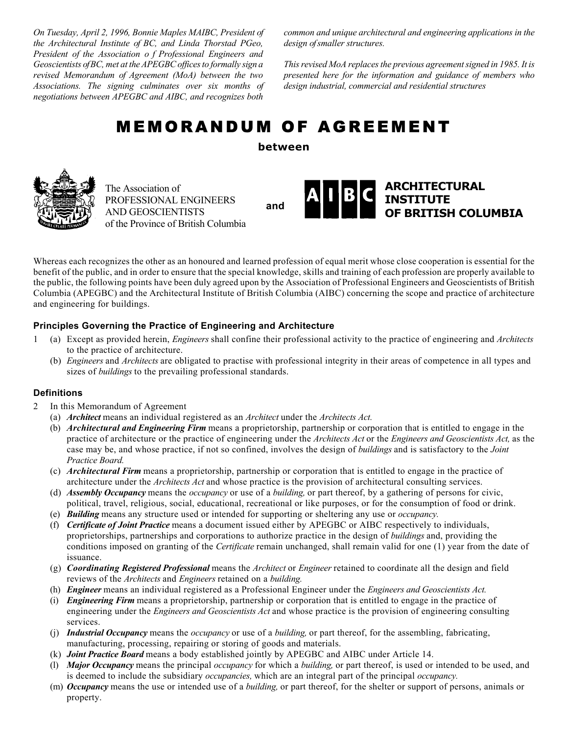*On Tuesday, April 2, 1996, Bonnie Maples MAIBC, President of the Architectural Institute of BC, and Linda Thorstad PGeo, President of the Association o f Professional Engineers and Geoscientists of BC, met at the APEGBC offices to formally sign a revised Memorandum of Agreement (MoA) between the two Associations. The signing culminates over six months of negotiations between APEGBC and AIBC, and recognizes both* 

*common and unique architectural and engineering applications in the design of smaller structures.* 

*This revised MoA replaces the previous agreement signed in 1985. It is presented here for the information and guidance of members who design industrial, commercial and residential structures*

# MEMORANDUM OF AGREEMENT

**between** 



The Association of PROFESSIONAL ENGINEERS AND GEOSCIENTISTS of the Province of British Columbia

**and** 



Whereas each recognizes the other as an honoured and learned profession of equal merit whose close cooperation is essential for the benefit of the public, and in order to ensure that the special knowledge, skills and training of each profession are properly available to the public, the following points have been duly agreed upon by the Association of Professional Engineers and Geoscientists of British Columbia (APEGBC) and the Architectural Institute of British Columbia (AIBC) concerning the scope and practice of architecture and engineering for buildings.

# **Principles Governing the Practice of Engineering and Architecture**

- 1 (a) Except as provided herein, *Engineers* shall confine their professional activity to the practice of engineering and *Architects*  to the practice of architecture.
	- (b) *Engineers* and *Architects* are obligated to practise with professional integrity in their areas of competence in all types and sizes of *buildings* to the prevailing professional standards.

# **Definitions**

- 2 In this Memorandum of Agreement
	- (a) *Architect* means an individual registered as an *Architect* under the *Architects Act.*
	- (b) *Architectural and Engineering Firm* means a proprietorship, partnership or corporation that is entitled to engage in the practice of architecture or the practice of engineering under the *Architects Act* or the *Engineers and Geoscientists Act,* as the case may be, and whose practice, if not so confined, involves the design of *buildings* and is satisfactory to the *Joint Practice Board.*
	- (c) *Architectural Firm* means a proprietorship, partnership or corporation that is entitled to engage in the practice of architecture under the *Architects Act* and whose practice is the provision of architectural consulting services.
	- (d) *Assembly Occupancy* means the *occupancy* or use of a *building,* or part thereof, by a gathering of persons for civic, political, travel, religious, social, educational, recreational or like purposes, or for the consumption of food or drink.
	- (e) *Building* means any structure used or intended for supporting or sheltering any use or *occupancy.*
	- (f) *Certificate of Joint Practice* means a document issued either by APEGBC or AIBC respectively to individuals, proprietorships, partnerships and corporations to authorize practice in the design of *buildings* and, providing the conditions imposed on granting of the *Certificate* remain unchanged, shall remain valid for one (1) year from the date of issuance.
	- (g) *Coordinating Registered Professional* means the *Architect* or *Engineer* retained to coordinate all the design and field reviews of the *Architects* and *Engineers* retained on a *building.*
	- (h) *Engineer* means an individual registered as a Professional Engineer under the *Engineers and Geoscientists Act.*
	- (i) *Engineering Firm* means a proprietorship, partnership or corporation that is entitled to engage in the practice of engineering under the *Engineers and Geoscientists Act* and whose practice is the provision of engineering consulting services.
	- (j) *Industrial Occupancy* means the *occupancy* or use of a *building,* or part thereof, for the assembling, fabricating, manufacturing, processing, repairing or storing of goods and materials.
	- (k) *Joint Practice Board* means a body established jointly by APEGBC and AIBC under Article 14.
	- (l) *Major Occupancy* means the principal *occupancy* for which a *building,* or part thereof, is used or intended to be used, and is deemed to include the subsidiary *occupancies,* which are an integral part of the principal *occupancy.*
	- (m) *Occupancy* means the use or intended use of a *building,* or part thereof, for the shelter or support of persons, animals or property.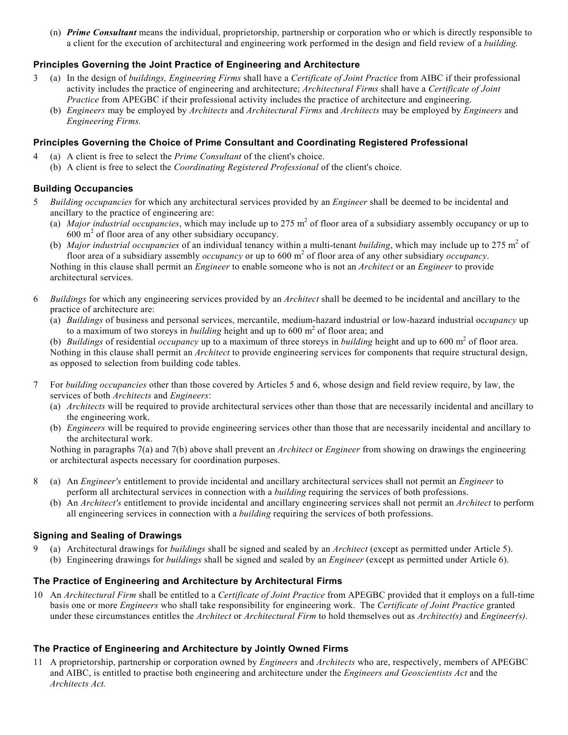(n) *Prime Consultant* means the individual, proprietorship, partnership or corporation who or which is directly responsible to a client for the execution of architectural and engineering work performed in the design and field review of a *building.* 

### **Principles Governing the Joint Practice of Engineering and Architecture**

- 3 (a) In the design of *buildings, Engineering Firms* shall have a *Certificate of Joint Practice* from AIBC if their professional activity includes the practice of engineering and architecture; *Architectural Firms* shall have a *Certificate of Joint Practice* from APEGBC if their professional activity includes the practice of architecture and engineering.
	- (b) *Engineers* may be employed by *Architects* and *Architectural Firms* and *Architects* may be employed by *Engineers* and *Engineering Firms.*

#### **Principles Governing the Choice of Prime Consultant and Coordinating Registered Professional**

- 4 (a) A client is free to select the *Prime Consultant* of the client's choice.
	- (b) A client is free to select the *Coordinating Registered Professional* of the client's choice.

#### **Building Occupancies**

- 5 *Building occupancies* for which any architectural services provided by an *Engineer* shall be deemed to be incidental and ancillary to the practice of engineering are:
- (a) *Major industrial occupancies*, which may include up to 275  $m<sup>2</sup>$  of floor area of a subsidiary assembly occupancy or up to 600 m2 of floor area of any other subsidiary occupancy.
- (b) *Major industrial occupancies* of an individual tenancy within a multi-tenant *building*, which may include up to 275 m<sup>2</sup> of floor area of a subsidiary assembly *occupancy* or up to 600 m<sup>2</sup> of floor area of any other subsidiary *occupancy*. Nothing in this clause shall permit an *Engineer* to enable someone who is not an *Architect* or an *Engineer* to provide

architectural services.

- 6 *Buildings* for which any engineering services provided by an *Architect* shall be deemed to be incidental and ancillary to the practice of architecture are:
	- (a) *Buildings* of business and personal services, mercantile, medium-hazard industrial or low-hazard industrial oc*cupancy* up to a maximum of two storeys in *building* height and up to 600 m<sup>2</sup> of floor area; and
- (b) *Buildings* of residential *occupancy* up to a maximum of three storeys in *building* height and up to 600 m<sup>2</sup> of floor area.

 Nothing in this clause shall permit an *Architect* to provide engineering services for components that require structural design, as opposed to selection from building code tables.

- 7 For *building occupancies* other than those covered by Articles 5 and 6, whose design and field review require, by law, the services of both *Architects* and *Engineers*:
	- (a) *Architects* will be required to provide architectural services other than those that are necessarily incidental and ancillary to the engineering work.
	- (b) *Engineers* will be required to provide engineering services other than those that are necessarily incidental and ancillary to the architectural work.

 Nothing in paragraphs 7(a) and 7(b) above shall prevent an *Architect* or *Engineer* from showing on drawings the engineering or architectural aspects necessary for coordination purposes.

- 8 (a) An *Engineer's* entitlement to provide incidental and ancillary architectural services shall not permit an *Engineer* to perform all architectural services in connection with a *building* requiring the services of both professions.
	- (b) An *Architect's* entitlement to provide incidental and ancillary engineering services shall not permit an *Architect* to perform all engineering services in connection with a *building* requiring the services of both professions.

#### **Signing and Sealing of Drawings**

9 (a) Architectural drawings for *buildings* shall be signed and sealed by an *Architect* (except as permitted under Article 5). (b) Engineering drawings for *buildings* shall be signed and sealed by an *Engineer* (except as permitted under Article 6).

#### **The Practice of Engineering and Architecture by Architectural Firms**

10 An *Architectural Firm* shall be entitled to a *Certificate of Joint Practice* from APEGBC provided that it employs on a full-time basis one or more *Engineers* who shall take responsibility for engineering work. The *Certificate of Joint Practice* granted under these circumstances entitles the *Architect* or *Architectural Firm* to hold themselves out as *Architect(s)* and *Engineer(s)*.

#### **The Practice of Engineering and Architecture by Jointly Owned Firms**

11 A proprietorship, partnership or corporation owned by *Engineers* and *Architects* who are, respectively, members of APEGBC and AIBC, is entitled to practise both engineering and architecture under the *Engineers and Geoscientists Act* and the *Architects Act.*